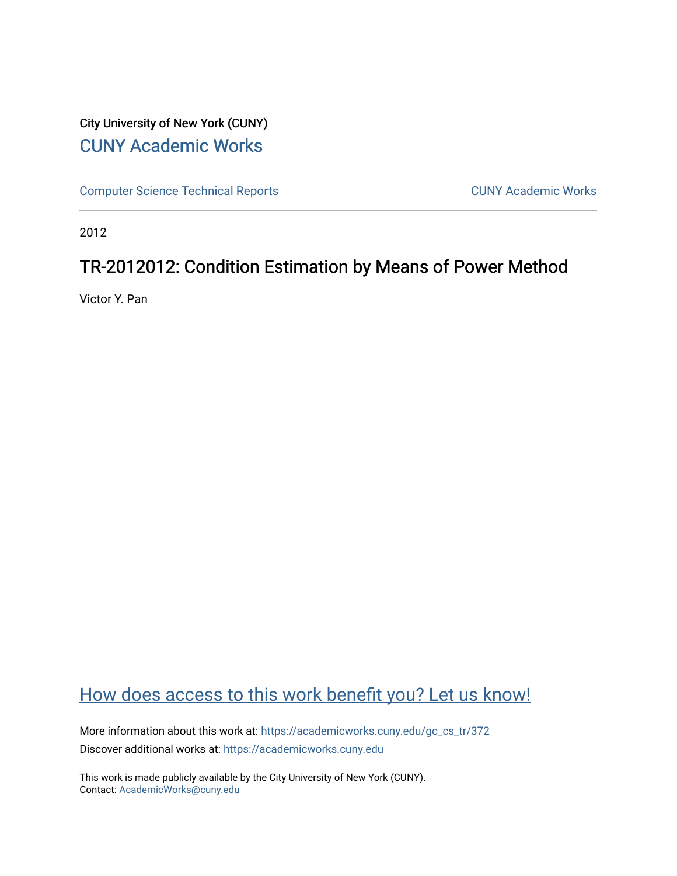## City University of New York (CUNY) [CUNY Academic Works](https://academicworks.cuny.edu/)

[Computer Science Technical Reports](https://academicworks.cuny.edu/gc_cs_tr) **CUNY Academic Works** CUNY Academic Works

2012

## TR-2012012: Condition Estimation by Means of Power Method

Victor Y. Pan

# [How does access to this work benefit you? Let us know!](http://ols.cuny.edu/academicworks/?ref=https://academicworks.cuny.edu/gc_cs_tr/372)

More information about this work at: [https://academicworks.cuny.edu/gc\\_cs\\_tr/372](https://academicworks.cuny.edu/gc_cs_tr/372)  Discover additional works at: [https://academicworks.cuny.edu](https://academicworks.cuny.edu/?)

This work is made publicly available by the City University of New York (CUNY). Contact: [AcademicWorks@cuny.edu](mailto:AcademicWorks@cuny.edu)